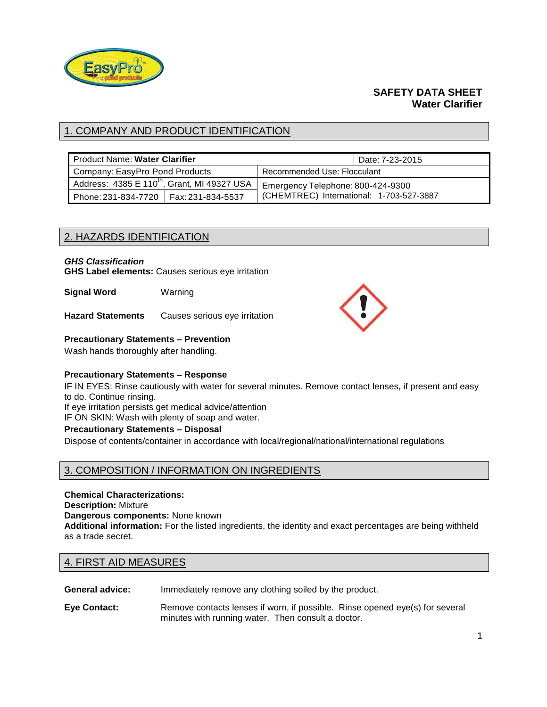

# **SAFETY DATA SHEET Water Clarifier**

# 1. COMPANY AND PRODUCT IDENTIFICATION

| <b>Product Name: Water Clarifier</b>                    |  | Date: 7-23-2015                          |  |
|---------------------------------------------------------|--|------------------------------------------|--|
| Company: EasyPro Pond Products                          |  | Recommended Use: Flocculant              |  |
| Address: 4385 E 110 <sup>th</sup> , Grant, MI 49327 USA |  | Emergency Telephone: 800-424-9300        |  |
| Phone: 231-834-7720   Fax: 231-834-5537                 |  | (CHEMTREC) International: 1-703-527-3887 |  |

# 2. HAZARDS IDENTIFICATION

### *GHS Classification*

**GHS Label elements:** Causes serious eye irritation

**Signal Word** Warning

**Hazard Statements** Causes serious eye irritation

### **Precautionary Statements – Prevention**

Wash hands thoroughly after handling.

### **Precautionary Statements – Response**

IF IN EYES: Rinse cautiously with water for several minutes. Remove contact lenses, if present and easy to do. Continue rinsing.

If eye irritation persists get medical advice/attention

IF ON SKIN: Wash with plenty of soap and water.

### **Precautionary Statements – Disposal**

Dispose of contents/container in accordance with local/regional/national/international regulations

# 3. COMPOSITION / INFORMATION ON INGREDIENTS

#### **Chemical Characterizations:**

**Description:** Mixture

**Dangerous components:** None known

**Additional information:** For the listed ingredients, the identity and exact percentages are being withheld as a trade secret.

# 4. FIRST AID MEASURES

**General advice:** Immediately remove any clothing soiled by the product.

**Eye Contact:** Remove contacts lenses if worn, if possible. Rinse opened eye(s) for several minutes with running water. Then consult a doctor.

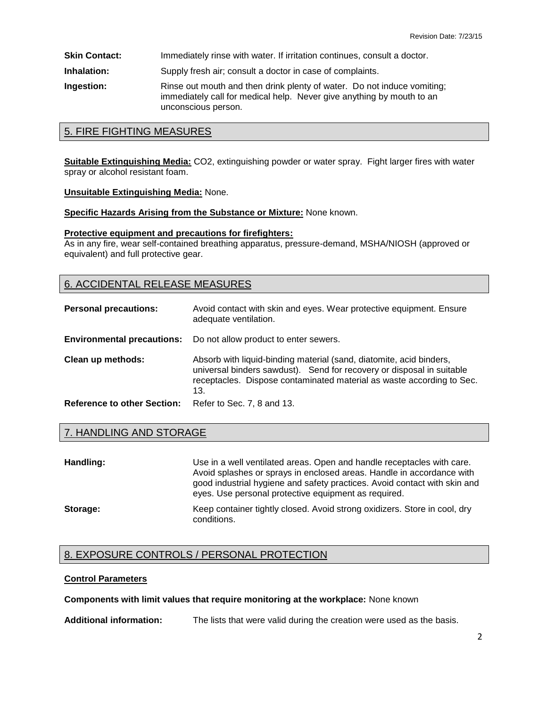**Skin Contact: Immediately rinse with water. If irritation continues, consult a doctor.** 

**Inhalation:** Supply fresh air; consult a doctor in case of complaints.

**Ingestion: Rinse out mouth and then drink plenty of water. Do not induce vomiting;** immediately call for medical help. Never give anything by mouth to an unconscious person.

### 5. FIRE FIGHTING MEASURES

**Suitable Extinguishing Media:** CO2, extinguishing powder or water spray. Fight larger fires with water spray or alcohol resistant foam.

#### **Unsuitable Extinguishing Media:** None.

**Specific Hazards Arising from the Substance or Mixture:** None known.

#### **Protective equipment and precautions for firefighters:**

As in any fire, wear self-contained breathing apparatus, pressure-demand, MSHA/NIOSH (approved or equivalent) and full protective gear.

### 6. ACCIDENTAL RELEASE MEASURES

| <b>Personal precautions:</b>       | Avoid contact with skin and eyes. Wear protective equipment. Ensure<br>adequate ventilation.                                                                                                                                 |
|------------------------------------|------------------------------------------------------------------------------------------------------------------------------------------------------------------------------------------------------------------------------|
| <b>Environmental precautions:</b>  | Do not allow product to enter sewers.                                                                                                                                                                                        |
| Clean up methods:                  | Absorb with liquid-binding material (sand, diatomite, acid binders,<br>universal binders sawdust). Send for recovery or disposal in suitable<br>receptacles. Dispose contaminated material as waste according to Sec.<br>13. |
| <b>Reference to other Section:</b> | Refer to Sec. 7, 8 and 13.                                                                                                                                                                                                   |

### 7. HANDLING AND STORAGE

| Handling: | Use in a well ventilated areas. Open and handle receptacles with care.<br>Avoid splashes or sprays in enclosed areas. Handle in accordance with<br>good industrial hygiene and safety practices. Avoid contact with skin and<br>eyes. Use personal protective equipment as required. |
|-----------|--------------------------------------------------------------------------------------------------------------------------------------------------------------------------------------------------------------------------------------------------------------------------------------|
| Storage:  | Keep container tightly closed. Avoid strong oxidizers. Store in cool, dry<br>conditions.                                                                                                                                                                                             |

# 8. EXPOSURE CONTROLS / PERSONAL PROTECTION

### **Control Parameters**

### **Components with limit values that require monitoring at the workplace:** None known

**Additional information:** The lists that were valid during the creation were used as the basis.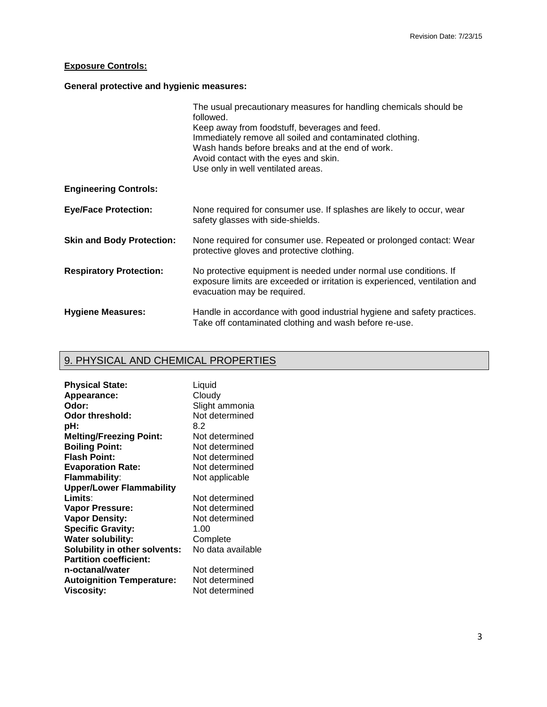# **Exposure Controls:**

# **General protective and hygienic measures:**

|                                  | The usual precautionary measures for handling chemicals should be<br>followed.                                                                                                                                                               |
|----------------------------------|----------------------------------------------------------------------------------------------------------------------------------------------------------------------------------------------------------------------------------------------|
|                                  | Keep away from foodstuff, beverages and feed.<br>Immediately remove all soiled and contaminated clothing.<br>Wash hands before breaks and at the end of work.<br>Avoid contact with the eyes and skin.<br>Use only in well ventilated areas. |
| <b>Engineering Controls:</b>     |                                                                                                                                                                                                                                              |
| <b>Eye/Face Protection:</b>      | None required for consumer use. If splashes are likely to occur, wear<br>safety glasses with side-shields.                                                                                                                                   |
| <b>Skin and Body Protection:</b> | None required for consumer use. Repeated or prolonged contact: Wear<br>protective gloves and protective clothing.                                                                                                                            |
| <b>Respiratory Protection:</b>   | No protective equipment is needed under normal use conditions. If<br>exposure limits are exceeded or irritation is experienced, ventilation and<br>evacuation may be required.                                                               |
| <b>Hygiene Measures:</b>         | Handle in accordance with good industrial hygiene and safety practices.<br>Take off contaminated clothing and wash before re-use.                                                                                                            |

# 9. PHYSICAL AND CHEMICAL PROPERTIES

| <b>Physical State:</b>           | Liquid            |
|----------------------------------|-------------------|
| Appearance:                      | Cloudy            |
| Odor:                            | Slight ammonia    |
| Odor threshold:                  | Not determined    |
| pH:                              | 8.2               |
| <b>Melting/Freezing Point:</b>   | Not determined    |
| <b>Boiling Point:</b>            | Not determined    |
| <b>Flash Point:</b>              | Not determined    |
| <b>Evaporation Rate:</b>         | Not determined    |
| Flammability:                    | Not applicable    |
| <b>Upper/Lower Flammability</b>  |                   |
| Limits:                          | Not determined    |
| <b>Vapor Pressure:</b>           | Not determined    |
| <b>Vapor Density:</b>            | Not determined    |
| <b>Specific Gravity:</b>         | 1.00              |
| <b>Water solubility:</b>         | Complete          |
| Solubility in other solvents:    | No data available |
| <b>Partition coefficient:</b>    |                   |
| n-octanal/water                  | Not determined    |
| <b>Autoignition Temperature:</b> | Not determined    |
| <b>Viscosity:</b>                | Not determined    |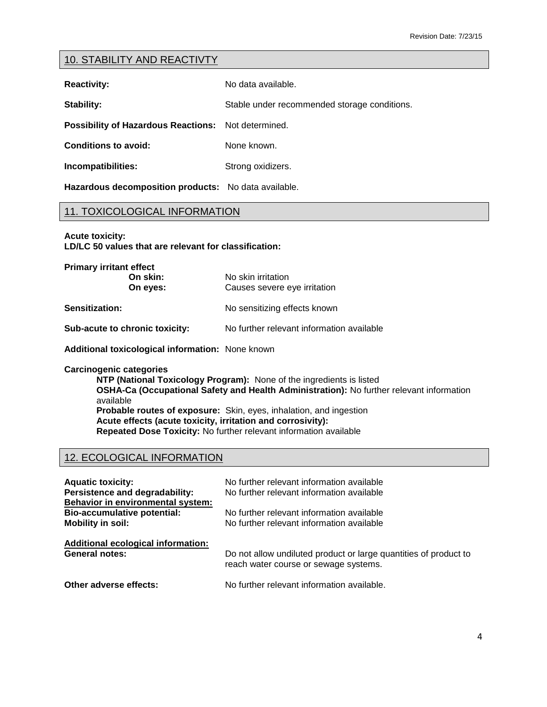# 10. STABILITY AND REACTIVTY

**Reactivity:** No data available.

**Stability: Stable under recommended storage conditions.** 

**Possibility of Hazardous Reactions:** Not determined.

**Conditions to avoid:** None known.

**Incompatibilities:** Strong oxidizers.

**Hazardous decomposition products:** No data available.

### 11. TOXICOLOGICAL INFORMATION

**Acute toxicity:**

**Primary irritant effect**

**LD/LC 50 values that are relevant for classification:**

| <b>Primary irritant effect</b><br>On skin:<br>On eyes: | No skin irritation<br>Causes severe eye irritation |
|--------------------------------------------------------|----------------------------------------------------|
| Sensitization:                                         | No sensitizing effects known                       |
| Sub-acute to chronic toxicity:                         | No further relevant information available          |

**Additional toxicological information:** None known

**Carcinogenic categories**

**NTP (National Toxicology Program):** None of the ingredients is listed **OSHA-Ca (Occupational Safety and Health Administration):** No further relevant information available **Probable routes of exposure:** Skin, eyes, inhalation, and ingestion **Acute effects (acute toxicity, irritation and corrosivity): Repeated Dose Toxicity:** No further relevant information available

# 12. ECOLOGICAL INFORMATION

| <b>Aquatic toxicity:</b><br>Persistence and degradability:<br>Behavior in environmental system: | No further relevant information available<br>No further relevant information available |
|-------------------------------------------------------------------------------------------------|----------------------------------------------------------------------------------------|
| <b>Bio-accumulative potential:</b>                                                              | No further relevant information available                                              |
| Mobility in soil:                                                                               | No further relevant information available                                              |
| Additional ecological information:                                                              | Do not allow undiluted product or large quantities of product to                       |
| <b>General notes:</b>                                                                           | reach water course or sewage systems.                                                  |
| Other adverse effects:                                                                          | No further relevant information available.                                             |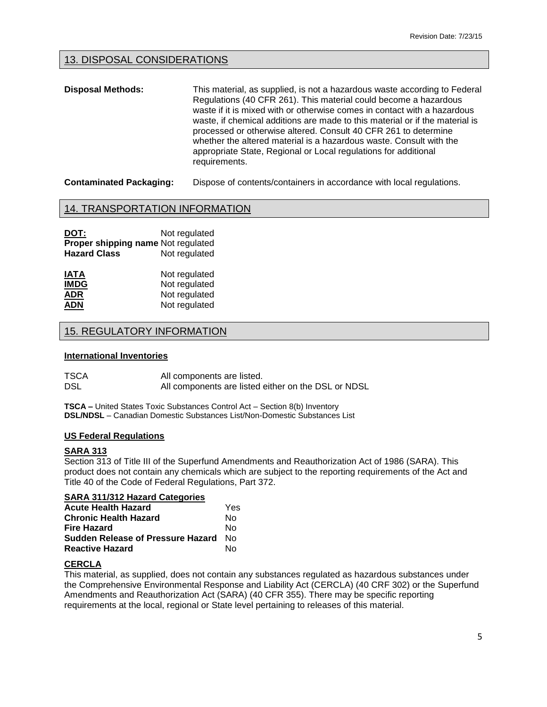# 13. DISPOSAL CONSIDERATIONS

**Disposal Methods:** This material, as supplied, is not a hazardous waste according to Federal Regulations (40 CFR 261). This material could become a hazardous waste if it is mixed with or otherwise comes in contact with a hazardous waste, if chemical additions are made to this material or if the material is processed or otherwise altered. Consult 40 CFR 261 to determine whether the altered material is a hazardous waste. Consult with the appropriate State, Regional or Local regulations for additional requirements.

**Contaminated Packaging:** Dispose of contents/containers in accordance with local regulations.

# 14. TRANSPORTATION INFORMATION

| DOT:                                      | Not regulated |
|-------------------------------------------|---------------|
| <b>Proper shipping name Not regulated</b> |               |
| <b>Hazard Class</b>                       | Not regulated |

| <b>IATA</b> | Not regulated |
|-------------|---------------|
| <b>IMDG</b> | Not regulated |
| <b>ADR</b>  | Not regulated |
| <b>ADN</b>  | Not regulated |

# 15. REGULATORY INFORMATION

#### **International Inventories**

| TSCA | All components are listed.                          |
|------|-----------------------------------------------------|
| DSL  | All components are listed either on the DSL or NDSL |

**TSCA –** United States Toxic Substances Control Act – Section 8(b) Inventory **DSL/NDSL** – Canadian Domestic Substances List/Non-Domestic Substances List

#### **US Federal Regulations**

### **SARA 313**

Section 313 of Title III of the Superfund Amendments and Reauthorization Act of 1986 (SARA). This product does not contain any chemicals which are subject to the reporting requirements of the Act and Title 40 of the Code of Federal Regulations, Part 372.

### **SARA 311/312 Hazard Categories**

| <b>Acute Health Hazard</b>               | Yes |
|------------------------------------------|-----|
| <b>Chronic Health Hazard</b>             | N٥  |
| <b>Fire Hazard</b>                       | N٥  |
| <b>Sudden Release of Pressure Hazard</b> | N∩  |
| <b>Reactive Hazard</b>                   | N٥  |

### **CERCLA**

This material, as supplied, does not contain any substances regulated as hazardous substances under the Comprehensive Environmental Response and Liability Act (CERCLA) (40 CRF 302) or the Superfund Amendments and Reauthorization Act (SARA) (40 CFR 355). There may be specific reporting requirements at the local, regional or State level pertaining to releases of this material.